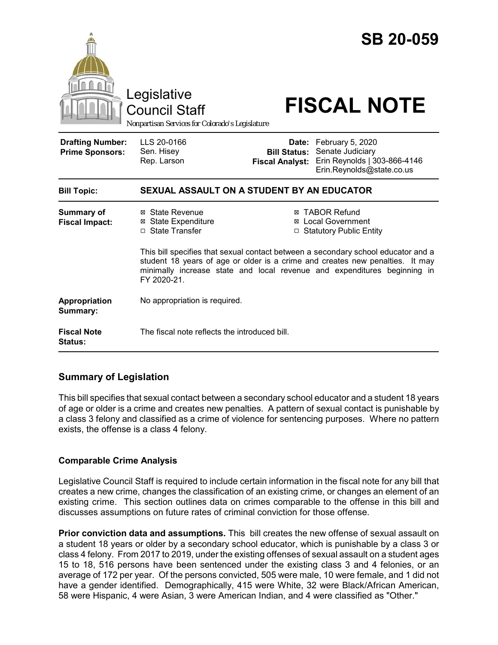

## **Summary of Legislation**

This bill specifies that sexual contact between a secondary school educator and a student 18 years of age or older is a crime and creates new penalties. A pattern of sexual contact is punishable by a class 3 felony and classified as a crime of violence for sentencing purposes. Where no pattern exists, the offense is a class 4 felony.

#### **Comparable Crime Analysis**

Legislative Council Staff is required to include certain information in the fiscal note for any bill that creates a new crime, changes the classification of an existing crime, or changes an element of an existing crime. This section outlines data on crimes comparable to the offense in this bill and discusses assumptions on future rates of criminal conviction for those offense.

**Prior conviction data and assumptions.** This bill creates the new offense of sexual assault on a student 18 years or older by a secondary school educator, which is punishable by a class 3 or class 4 felony. From 2017 to 2019, under the existing offenses of sexual assault on a student ages 15 to 18, 516 persons have been sentenced under the existing class 3 and 4 felonies, or an average of 172 per year. Of the persons convicted, 505 were male, 10 were female, and 1 did not have a gender identified. Demographically, 415 were White, 32 were Black/African American, 58 were Hispanic, 4 were Asian, 3 were American Indian, and 4 were classified as "Other."